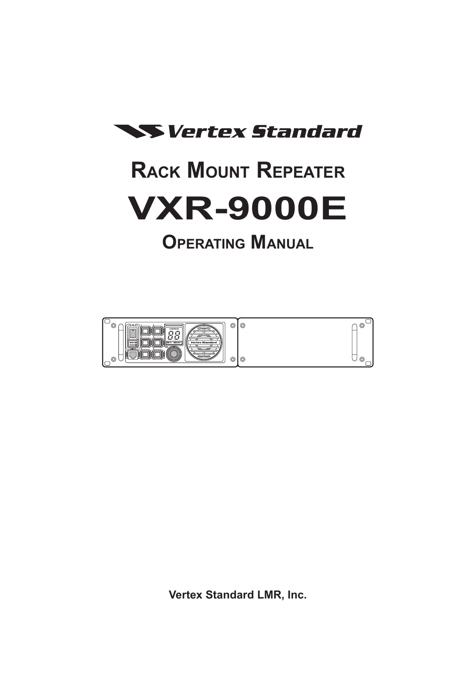

# **Rack Mount Repeater VXR-9000E**

## **Operating Manual**



**Vertex Standard LMR, Inc.**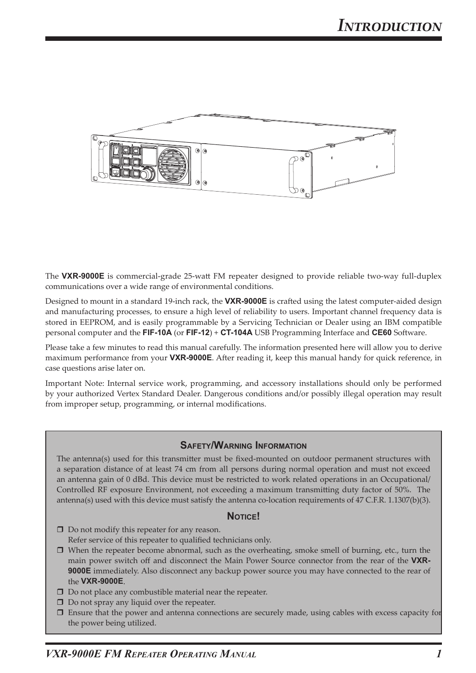

The **VXR-9000E** is commercial-grade 25-watt FM repeater designed to provide reliable two-way full-duplex communications over a wide range of environmental conditions.

Designed to mount in a standard 19-inch rack, the **VXR-9000E** is crafted using the latest computer-aided design and manufacturing processes, to ensure a high level of reliability to users. Important channel frequency data is stored in EEPROM, and is easily programmable by a Servicing Technician or Dealer using an IBM compatible personal computer and the **FIF-10A** (or **FIF-12**) + **CT-104A** USB Programming Interface and **CE60** Software.

Please take a few minutes to read this manual carefully. The information presented here will allow you to derive maximum performance from your **VXR-9000E**. After reading it, keep this manual handy for quick reference, in case questions arise later on.

Important Note: Internal service work, programming, and accessory installations should only be performed by your authorized Vertex Standard Dealer. Dangerous conditions and/or possibly illegal operation may result from improper setup, programming, or internal modifications.

#### **Safety/Warning Information**

The antenna(s) used for this transmitter must be fixed-mounted on outdoor permanent structures with a separation distance of at least 74 cm from all persons during normal operation and must not exceed an antenna gain of 0 dBd. This device must be restricted to work related operations in an Occupational/ Controlled RF exposure Environment, not exceeding a maximum transmitting duty factor of 50%. The antenna(s) used with this device must satisfy the antenna co-location requirements of 47 C.F.R. 1.1307(b)(3).

#### **Notice!**

- □ Do not modify this repeater for any reason. Refer service of this repeater to qualified technicians only.
- $\Box$  When the repeater become abnormal, such as the overheating, smoke smell of burning, etc., turn the main power switch off and disconnect the Main Power Source connector from the rear of the **VXR-9000E** immediately. Also disconnect any backup power source you may have connected to the rear of the **VXR-9000E**.
- $\square$  Do not place any combustible material near the repeater.
- $\Box$  Do not spray any liquid over the repeater.
- $\square$  Ensure that the power and antenna connections are securely made, using cables with excess capacity for the power being utilized.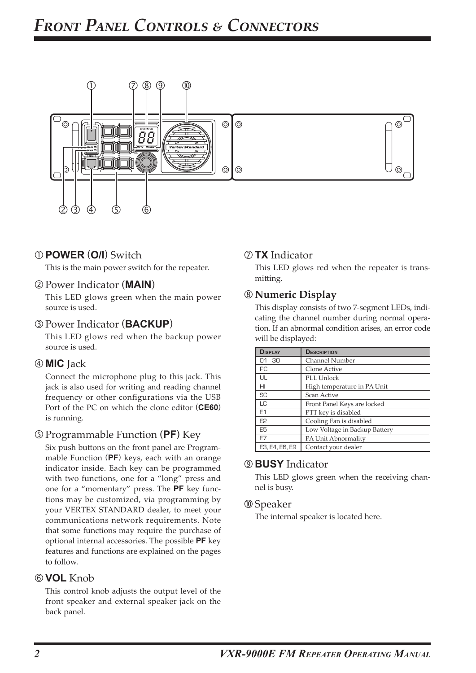

### **POWER** (**O/I**) Switch

This is the main power switch for the repeater.

#### Power Indicator (**MAIN**)

This LED glows green when the main power source is used.

#### Power Indicator (**BACKUP**)

This LED glows red when the backup power source is used.

#### **MIC** Jack

Connect the microphone plug to this jack. This jack is also used for writing and reading channel frequency or other configurations via the USB Port of the PC on which the clone editor (**CE60**) is running.

#### Programmable Function (**PF**) Key

Six push buttons on the front panel are Programmable Function (**PF**) keys, each with an orange indicator inside. Each key can be programmed with two functions, one for a "long" press and one for a "momentary" press. The **PF** key functions may be customized, via programming by your VERTEX STANDARD dealer, to meet your communications network requirements. Note that some functions may require the purchase of optional internal accessories. The possible **PF** key features and functions are explained on the pages to follow.

#### **VOL** Knob

This control knob adjusts the output level of the front speaker and external speaker jack on the back panel.

#### **TX** Indicator

This LED glows red when the repeater is transmitting.

#### **Numeric Display**

This display consists of two 7-segment LEDs, indicating the channel number during normal operation. If an abnormal condition arises, an error code will be displayed:

| <b>DISPLAY</b>  | <b>DESCRIPTION</b>            |
|-----------------|-------------------------------|
| $01 - 30$       | Channel Number                |
| PC              | Clone Active                  |
| UL              | PLL Unlock                    |
| H <sub>II</sub> | High temperature in PA Unit   |
| SC              | Scan Active                   |
| LC              | Front Panel Keys are locked   |
| E <sub>1</sub>  | PTT key is disabled           |
| E <sub>2</sub>  | Cooling Fan is disabled       |
| E <sub>5</sub>  | Low Voltage in Backup Battery |
| E7              | PA Unit Abnormality           |
| E3. E4. E6. E9  | Contact your dealer           |

#### **BUSY** Indicator

This LED glows green when the receiving channel is busy.

#### Speaker

The internal speaker is located here.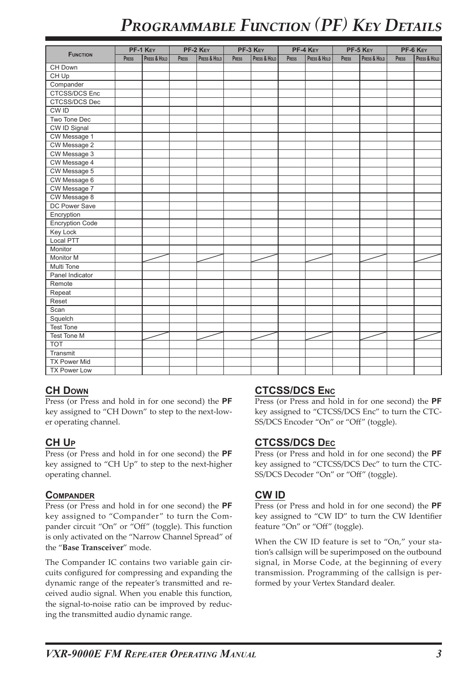## *Programmable Function (PF) Key Details*

|                        | PF-1 KEY |              | PF-2 KEY |              | PF-3 KEY |              | PF-4 KEY |              | PF-5 KEY |              | PF-6 KEY |              |
|------------------------|----------|--------------|----------|--------------|----------|--------------|----------|--------------|----------|--------------|----------|--------------|
| <b>FUNCTION</b>        | PRESS    | PRESS & HOLD | PRESS    | Press & Hold | PRESS    | Press & Hold | PRESS    | Press & Hold | PRESS    | Press & Hold | PRESS    | Press & Hold |
| CH Down                |          |              |          |              |          |              |          |              |          |              |          |              |
| $CH$ Up                |          |              |          |              |          |              |          |              |          |              |          |              |
| Compander              |          |              |          |              |          |              |          |              |          |              |          |              |
| <b>CTCSS/DCS Enc</b>   |          |              |          |              |          |              |          |              |          |              |          |              |
| CTCSS/DCS Dec          |          |              |          |              |          |              |          |              |          |              |          |              |
| CW ID                  |          |              |          |              |          |              |          |              |          |              |          |              |
| Two Tone Dec           |          |              |          |              |          |              |          |              |          |              |          |              |
| CW ID Signal           |          |              |          |              |          |              |          |              |          |              |          |              |
| CW Message 1           |          |              |          |              |          |              |          |              |          |              |          |              |
| CW Message 2           |          |              |          |              |          |              |          |              |          |              |          |              |
| CW Message 3           |          |              |          |              |          |              |          |              |          |              |          |              |
| CW Message 4           |          |              |          |              |          |              |          |              |          |              |          |              |
| CW Message 5           |          |              |          |              |          |              |          |              |          |              |          |              |
| CW Message 6           |          |              |          |              |          |              |          |              |          |              |          |              |
| CW Message 7           |          |              |          |              |          |              |          |              |          |              |          |              |
| CW Message 8           |          |              |          |              |          |              |          |              |          |              |          |              |
| DC Power Save          |          |              |          |              |          |              |          |              |          |              |          |              |
| Encryption             |          |              |          |              |          |              |          |              |          |              |          |              |
| <b>Encryption Code</b> |          |              |          |              |          |              |          |              |          |              |          |              |
| <b>Key Lock</b>        |          |              |          |              |          |              |          |              |          |              |          |              |
| Local PTT              |          |              |          |              |          |              |          |              |          |              |          |              |
| Monitor                |          |              |          |              |          |              |          |              |          |              |          |              |
| <b>Monitor M</b>       |          |              |          |              |          |              |          |              |          |              |          |              |
| Multi Tone             |          |              |          |              |          |              |          |              |          |              |          |              |
| Panel Indicator        |          |              |          |              |          |              |          |              |          |              |          |              |
| Remote                 |          |              |          |              |          |              |          |              |          |              |          |              |
| Repeat                 |          |              |          |              |          |              |          |              |          |              |          |              |
| Reset                  |          |              |          |              |          |              |          |              |          |              |          |              |
| Scan                   |          |              |          |              |          |              |          |              |          |              |          |              |
| Squelch                |          |              |          |              |          |              |          |              |          |              |          |              |
| <b>Test Tone</b>       |          |              |          |              |          |              |          |              |          |              |          |              |
| <b>Test Tone M</b>     |          |              |          |              |          |              |          |              |          |              |          |              |
| $\overline{TOT}$       |          |              |          |              |          |              |          |              |          |              |          |              |
| Transmit               |          |              |          |              |          |              |          |              |          |              |          |              |
| <b>TX Power Mid</b>    |          |              |          |              |          |              |          |              |          |              |          |              |
| <b>TX Power Low</b>    |          |              |          |              |          |              |          |              |          |              |          |              |

#### **CH Down**

Press (or Press and hold in for one second) the **PF** key assigned to "CH Down" to step to the next-lower operating channel.

#### **CH Up**

Press (or Press and hold in for one second) the **PF** key assigned to "CH Up" to step to the next-higher operating channel.

#### **Compander**

Press (or Press and hold in for one second) the **PF** key assigned to "Compander" to turn the Compander circuit "On" or "Off" (toggle). This function is only activated on the "Narrow Channel Spread" of the "**Base Transceiver**" mode.

The Compander IC contains two variable gain circuits configured for compressing and expanding the dynamic range of the repeater's transmitted and received audio signal. When you enable this function, the signal-to-noise ratio can be improved by reducing the transmitted audio dynamic range.

#### **CTCSS/DCS Enc**

Press (or Press and hold in for one second) the **PF** key assigned to "CTCSS/DCS Enc" to turn the CTC-SS/DCS Encoder "On" or "Off" (toggle).

#### **CTCSS/DCS Dec**

Press (or Press and hold in for one second) the **PF** key assigned to "CTCSS/DCS Dec" to turn the CTC-SS/DCS Decoder "On" or "Off" (toggle).

#### **CW ID**

Press (or Press and hold in for one second) the **PF** key assigned to "CW ID" to turn the CW Identifier feature "On" or "Off" (toggle).

When the CW ID feature is set to "On," your station's callsign will be superimposed on the outbound signal, in Morse Code, at the beginning of every transmission. Programming of the callsign is performed by your Vertex Standard dealer.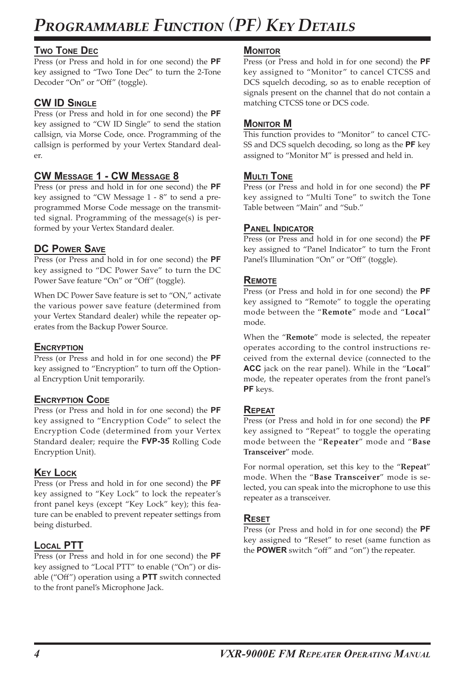## *Programmable Function (PF) Key Details*

#### **Two Tone Dec**

Press (or Press and hold in for one second) the **PF** key assigned to "Two Tone Dec" to turn the 2-Tone Decoder "On" or "Off" (toggle).

#### **CW ID Single**

Press (or Press and hold in for one second) the **PF** key assigned to "CW ID Single" to send the station callsign, via Morse Code, once. Programming of the callsign is performed by your Vertex Standard dealer.

#### **CW Message 1 - CW Message 8**

Press (or press and hold in for one second) the **PF** key assigned to "CW Message 1 - 8" to send a preprogrammed Morse Code message on the transmitted signal. Programming of the message(s) is performed by your Vertex Standard dealer.

#### **DC Power Save**

Press (or Press and hold in for one second) the **PF** key assigned to "DC Power Save" to turn the DC Power Save feature "On" or "Off" (toggle).

When DC Power Save feature is set to "ON," activate the various power save feature (determined from your Vertex Standard dealer) while the repeater operates from the Backup Power Source.

#### **ENCRYPTION**

Press (or Press and hold in for one second) the **PF** key assigned to "Encryption" to turn off the Optional Encryption Unit temporarily.

#### **Encryption Code**

Press (or Press and hold in for one second) the **PF** key assigned to "Encryption Code" to select the Encryption Code (determined from your Vertex Standard dealer; require the **FVP-35** Rolling Code Encryption Unit).

#### **Key Lock**

Press (or Press and hold in for one second) the **PF** key assigned to "Key Lock" to lock the repeater's front panel keys (except "Key Lock" key); this feature can be enabled to prevent repeater settings from being disturbed.

#### **Local PTT**

Press (or Press and hold in for one second) the **PF** key assigned to "Local PTT" to enable ("On") or disable ("Off") operation using a **PTT** switch connected to the front panel's Microphone Jack.

#### **MONITOR**

Press (or Press and hold in for one second) the **PF** key assigned to "Monitor" to cancel CTCSS and DCS squelch decoding, so as to enable reception of signals present on the channel that do not contain a matching CTCSS tone or DCS code.

#### **Monitor M**

This function provides to "Monitor" to cancel CTC-SS and DCS squelch decoding, so long as the **PF** key assigned to "Monitor M" is pressed and held in.

#### **Multi Tone**

Press (or Press and hold in for one second) the **PF** key assigned to "Multi Tone" to switch the Tone Table between "Main" and "Sub."

#### **Panel Indicator**

Press (or Press and hold in for one second) the **PF** key assigned to "Panel Indicator" to turn the Front Panel's Illumination "On" or "Off" (toggle).

#### **Remote**

Press (or Press and hold in for one second) the **PF** key assigned to "Remote" to toggle the operating mode between the "**Remote**" mode and "**Local**" mode.

When the "**Remote**" mode is selected, the repeater operates according to the control instructions received from the external device (connected to the **ACC** jack on the rear panel). While in the "**Local**" mode, the repeater operates from the front panel's **PF** keys.

#### **Repeat**

Press (or Press and hold in for one second) the **PF** key assigned to "Repeat" to toggle the operating mode between the "**Repeater**" mode and "**Base Transceiver**" mode.

For normal operation, set this key to the "**Repeat**" mode. When the "**Base Transceiver**" mode is selected, you can speak into the microphone to use this repeater as a transceiver.

#### **Reset**

Press (or Press and hold in for one second) the **PF** key assigned to "Reset" to reset (same function as the **POWER** switch "off" and "on") the repeater.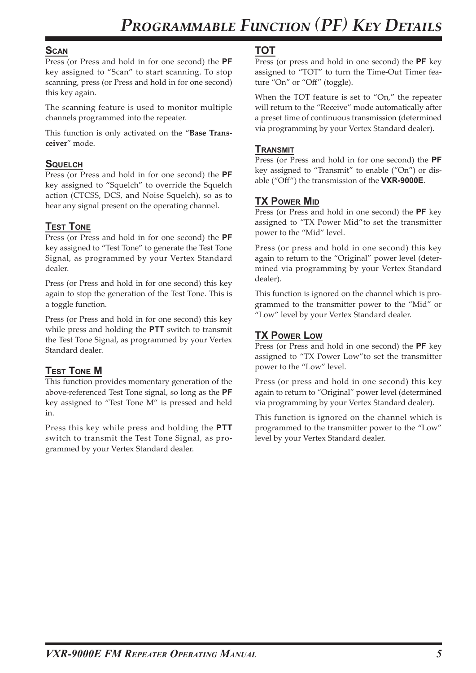#### **Scan**

Press (or Press and hold in for one second) the **PF** key assigned to "Scan" to start scanning. To stop scanning, press (or Press and hold in for one second) this key again.

The scanning feature is used to monitor multiple channels programmed into the repeater.

This function is only activated on the "**Base Transceiver**" mode.

#### **Squelch**

Press (or Press and hold in for one second) the **PF** key assigned to "Squelch" to override the Squelch action (CTCSS, DCS, and Noise Squelch), so as to hear any signal present on the operating channel.

#### **Test Tone**

Press (or Press and hold in for one second) the **PF** key assigned to "Test Tone" to generate the Test Tone Signal, as programmed by your Vertex Standard dealer.

Press (or Press and hold in for one second) this key again to stop the generation of the Test Tone. This is a toggle function.

Press (or Press and hold in for one second) this key while press and holding the **PTT** switch to transmit the Test Tone Signal, as programmed by your Vertex Standard dealer.

#### **Test Tone M**

This function provides momentary generation of the above-referenced Test Tone signal, so long as the **PF** key assigned to "Test Tone M" is pressed and held in.

Press this key while press and holding the **PTT** switch to transmit the Test Tone Signal, as programmed by your Vertex Standard dealer.

#### **TOT**

Press (or press and hold in one second) the **PF** key assigned to "TOT" to turn the Time-Out Timer feature "On" or "Off" (toggle).

When the TOT feature is set to "On," the repeater will return to the "Receive" mode automatically after a preset time of continuous transmission (determined via programming by your Vertex Standard dealer).

#### **Transmit**

Press (or Press and hold in for one second) the **PF** key assigned to "Transmit" to enable ("On") or disable ("Off") the transmission of the **VXR-9000E**.

#### **TX Power Mid**

Press (or Press and hold in one second) the **PF** key assigned to "TX Power Mid"to set the transmitter power to the "Mid" level.

Press (or press and hold in one second) this key again to return to the "Original" power level (determined via programming by your Vertex Standard dealer).

This function is ignored on the channel which is programmed to the transmitter power to the "Mid" or "Low" level by your Vertex Standard dealer.

#### **TX Power Low**

Press (or Press and hold in one second) the **PF** key assigned to "TX Power Low"to set the transmitter power to the "Low" level.

Press (or press and hold in one second) this key again to return to "Original" power level (determined via programming by your Vertex Standard dealer).

This function is ignored on the channel which is programmed to the transmitter power to the "Low" level by your Vertex Standard dealer.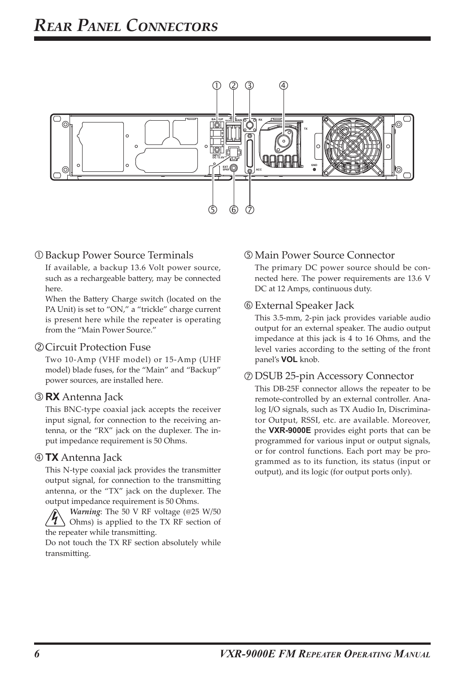

#### Backup Power Source Terminals

If available, a backup 13.6 Volt power source, such as a rechargeable battery, may be connected here.

When the Battery Charge switch (located on the PA Unit) is set to "ON," a "trickle" charge current is present here while the repeater is operating from the "Main Power Source."

#### Circuit Protection Fuse

Two 10-Amp (VHF model) or 15-Amp (UHF model) blade fuses, for the "Main" and "Backup" power sources, are installed here.

#### **RX** Antenna Jack

This BNC-type coaxial jack accepts the receiver input signal, for connection to the receiving antenna, or the "RX" jack on the duplexer. The input impedance requirement is 50 Ohms.

#### **TX** Antenna Jack

This N-type coaxial jack provides the transmitter output signal, for connection to the transmitting antenna, or the "TX" jack on the duplexer. The output impedance requirement is 50 Ohms.

*Warning*: The 50 V RF voltage (@25 W/50 Ohms) is applied to the TX RF section of the repeater while transmitting.

Do not touch the TX RF section absolutely while transmitting.

#### Main Power Source Connector

The primary DC power source should be connected here. The power requirements are 13.6 V DC at 12 Amps, continuous duty.

#### External Speaker Jack

This 3.5-mm, 2-pin jack provides variable audio output for an external speaker. The audio output impedance at this jack is 4 to 16 Ohms, and the level varies according to the setting of the front panel's **VOL** knob.

#### DSUB 25-pin Accessory Connector

This DB-25F connector allows the repeater to be remote-controlled by an external controller. Analog I/O signals, such as TX Audio In, Discriminator Output, RSSI, etc. are available. Moreover, the **VXR-9000E** provides eight ports that can be programmed for various input or output signals, or for control functions. Each port may be programmed as to its function, its status (input or output), and its logic (for output ports only).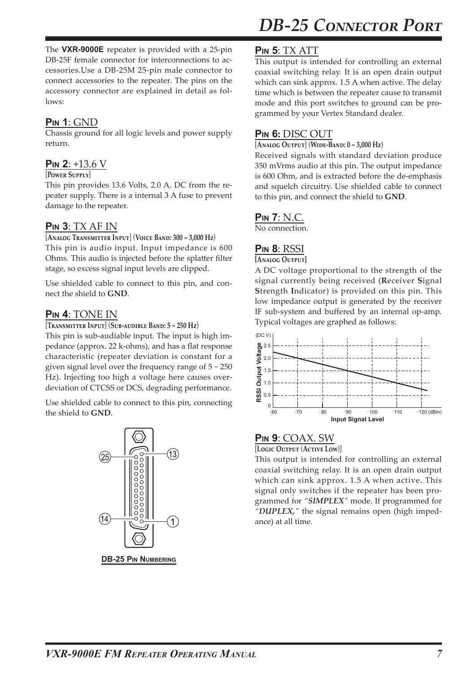*DB-25 Connector Port*

The **VXR-9000E** repeater is provided with a 25-pin DB-25F female connector for interconnections to accessories.Use a DB-25M 25-pin male connector to connect accessories to the repeater. The pins on the accessory connector are explained in detail as follows:

## **Pin 1**: GND

Chassis ground for all logic levels and power supply return.

## **Pin 2**: +13.6 V

#### [**Power Supply**]

This pin provides 13.6 Volts, 2.0 A, DC from the repeater supply. There is a internal 3 A fuse to prevent damage to the repeater.

## **Pin 3**: TX AF IN

#### [**Analog Transmitter Input**] (**Voice Band: 300 ~ 3,000 Hz**)

This pin is audio input. Input impedance is 600 Ohms. This audio is injected before the splatter filter stage, so excess signal input levels are clipped.

Use shielded cable to connect to this pin, and connect the shield to **GND**.

## **Pin 4**: TONE IN

#### [**Transmitter Input**] (**Sub-audible Band: 5 ~ 250 Hz**)

This pin is sub-audiable input. The input is high impedance (approx. 22 k-ohms), and has a flat response characteristic (repeater deviation is constant for a given signal level over the frequency range of  $5 \sim 250$ Hz). Injecting too high a voltage here causes overdeviation of CTCSS or DCS, degrading performance.

Use shielded cable to connect to this pin, connecting the shield to **GND**.



**DB-25 Pin Numbering**

## **Pin 5**: TX ATT

This output is intended for controlling an external coaxial switching relay. It is an open drain output which can sink approx. 1.5 A when active. The delay time which is between the repeater cause to transmit mode and this port switches to ground can be programmed by your Vertex Standard dealer.

### **Pin 6:** DISC OUT

#### [**Analog Output**] (**Wide-Band: 0 ~ 3,000 Hz**)

Received signals with standard deviation produce 350 mVrms audio at this pin. The output impedance is 600 Ohm, and is extracted before the de-emphasis and squelch circuitry. Use shielded cable to connect to this pin, and connect the shield to **GND**.

#### **Pin 7**: N.C.

No connection.

#### **Pin 8**: RSSI

#### **[Analog Output]**

A DC voltage proportional to the strength of the signal currently being received (**R**eceiver **S**ignal **S**trength **I**ndicator) is provided on this pin. This low impedance output is generated by the receiver IF sub-system and buffered by an internal op-amp. Typical voltages are graphed as follows:



#### **Pin 9**: COAX. SW

[**Logic Output** (**Active Low**)]

This output is intended for controlling an external coaxial switching relay. It is an open drain output which can sink approx. 1.5 A when active. This signal only switches if the repeater has been programmed for *"SIMPLEX"* mode. If programmed for *"DUPLEX,"* the signal remains open (high impedance) at all time.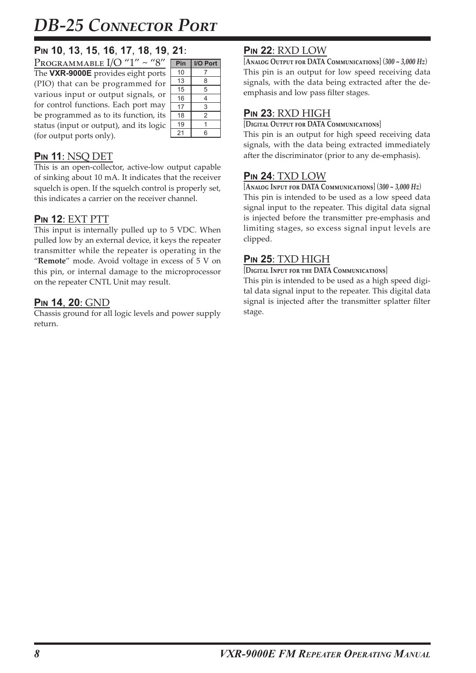## *DB-25 Connector Port*

## **Pin 10**, **13**, **15**, **16**, **17**, **18**, **19**, **21**:

| PROGRAMMABLE $I/O''1'' \sim "8"$        |  |
|-----------------------------------------|--|
| The VXR-9000E provides eight ports      |  |
| (PIO) that can be programmed for        |  |
| various input or output signals, or     |  |
| for control functions. Each port may    |  |
| be programmed as to its function, its   |  |
| status (input or output), and its logic |  |
| (for output ports only).                |  |

| Pin | I/O Port |
|-----|----------|
| 10  | 7        |
| 13  | 8        |
| 15  | 5        |
| 16  | 4        |
| 17  | 3        |
| 18  | 2        |
| 19  | 1        |
| 21  | 6        |

### **Pin 11**: NSQ DET

This is an open-collector, active-low output capable of sinking about 10 mA. It indicates that the receiver squelch is open. If the squelch control is properly set, this indicates a carrier on the receiver channel.

## **Pin 12**: EXT PTT

This input is internally pulled up to 5 VDC. When pulled low by an external device, it keys the repeater transmitter while the repeater is operating in the "**Remote**" mode. Avoid voltage in excess of 5 V on this pin, or internal damage to the microprocessor on the repeater CNTL Unit may result.

### **Pin 14**, **20**: GND

Chassis ground for all logic levels and power supply return.

## **Pin 22**: RXD LOW

[**Analog Output for DATA Communications**] (*300 ~ 3,000 Hz*) This pin is an output for low speed receiving data signals, with the data being extracted after the deemphasis and low pass filter stages.

#### **Pin 23**: RXD HIGH

[**Digital Output for DATA Communications**]

This pin is an output for high speed receiving data signals, with the data being extracted immediately after the discriminator (prior to any de-emphasis).

#### **Pin 24**: TXD LOW

[**Analog Input for DATA Communications**] (*300 ~ 3,000 Hz*) This pin is intended to be used as a low speed data signal input to the repeater. This digital data signal is injected before the transmitter pre-emphasis and limiting stages, so excess signal input levels are clipped.

### **Pin 25**: TXD HIGH

#### [**Digital Input for the DATA Communications**]

This pin is intended to be used as a high speed digital data signal input to the repeater. This digital data signal is injected after the transmitter splatter filter stage.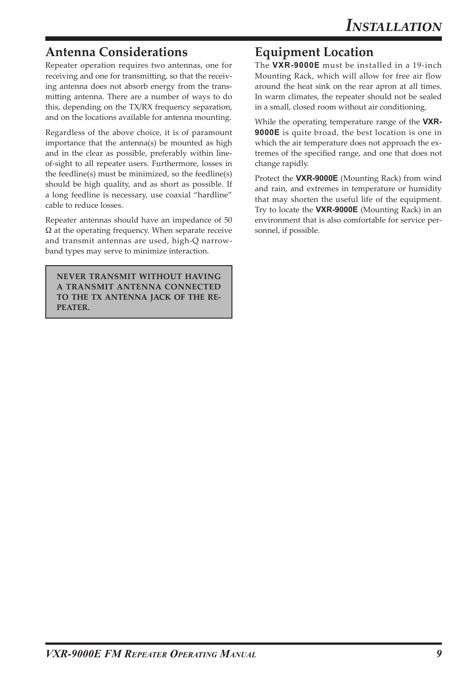## **Antenna Considerations**

Repeater operation requires two antennas, one for receiving and one for transmitting, so that the receiving antenna does not absorb energy from the transmitting antenna. There are a number of ways to do this, depending on the TX/RX frequency separation, and on the locations available for antenna mounting.

Regardless of the above choice, it is of paramount importance that the antenna(s) be mounted as high and in the clear as possible, preferably within lineof-sight to all repeater users. Furthermore, losses in the feedline(s) must be minimized, so the feedline(s) should be high quality, and as short as possible. If a long feedline is necessary, use coaxial "hardline" cable to reduce losses.

Repeater antennas should have an impedance of 50  $\Omega$  at the operating frequency. When separate receive and transmit antennas are used, high-Q narrowband types may serve to minimize interaction.

**NEVER TRANSMIT WITHOUT HAVING A TRANSMIT ANTENNA CONNECTED TO THE TX ANTENNA JACK OF THE RE-PEATER.**

## **Equipment Location**

The **VXR-9000E** must be installed in a 19-inch Mounting Rack, which will allow for free air flow around the heat sink on the rear apron at all times. In warm climates, the repeater should not be sealed in a small, closed room without air conditioning.

While the operating temperature range of the **VXR-9000E** is quite broad, the best location is one in which the air temperature does not approach the extremes of the specified range, and one that does not change rapidly.

Protect the **VXR-9000E** (Mounting Rack) from wind and rain, and extremes in temperature or humidity that may shorten the useful life of the equipment. Try to locate the **VXR-9000E** (Mounting Rack) in an environment that is also comfortable for service personnel, if possible.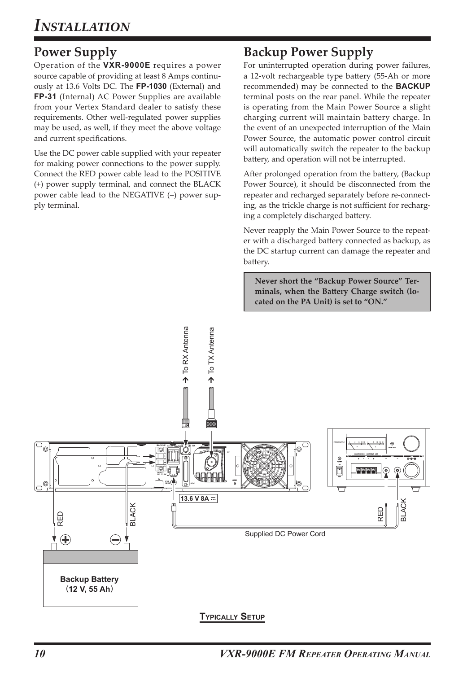## **Power Supply**

Operation of the **VXR-9000E** requires a power source capable of providing at least 8 Amps continuously at 13.6 Volts DC. The **FP-1030** (External) and **FP-31** (Internal) AC Power Supplies are available from your Vertex Standard dealer to satisfy these requirements. Other well-regulated power supplies may be used, as well, if they meet the above voltage and current specifications.

Use the DC power cable supplied with your repeater for making power connections to the power supply. Connect the RED power cable lead to the POSITIVE (+) power supply terminal, and connect the BLACK power cable lead to the NEGATIVE (–) power supply terminal.

## **Backup Power Supply**

For uninterrupted operation during power failures, a 12-volt rechargeable type battery (55-Ah or more recommended) may be connected to the **BACKUP** terminal posts on the rear panel. While the repeater is operating from the Main Power Source a slight charging current will maintain battery charge. In the event of an unexpected interruption of the Main Power Source, the automatic power control circuit will automatically switch the repeater to the backup battery, and operation will not be interrupted.

After prolonged operation from the battery, (Backup Power Source), it should be disconnected from the repeater and recharged separately before re-connecting, as the trickle charge is not sufficient for recharging a completely discharged battery.

Never reapply the Main Power Source to the repeater with a discharged battery connected as backup, as the DC startup current can damage the repeater and battery.

**Never short the "Backup Power Source" Terminals, when the Battery Charge switch (located on the PA Unit) is set to "ON."**

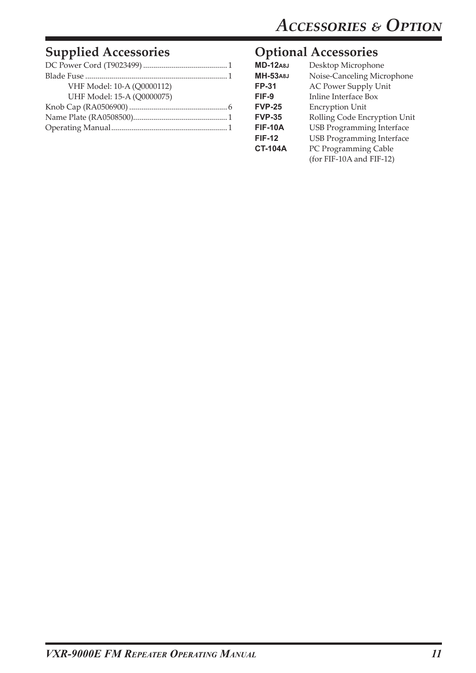## **Supplied Accessories**

| VHF Model: 10-A (Q0000112) |
|----------------------------|
| UHF Model: 15-A (Q0000075) |
|                            |
|                            |
|                            |

## **Optional Accessories**

| <b>MD-12A8J</b> | Desktop Microphone               |
|-----------------|----------------------------------|
| <b>MH-53A8J</b> | Noise-Canceling Microphone       |
| <b>FP-31</b>    | <b>AC Power Supply Unit</b>      |
| FIF-9           | <b>Inline Interface Box</b>      |
| <b>FVP-25</b>   | <b>Encryption Unit</b>           |
| <b>FVP-35</b>   | Rolling Code Encryption Unit     |
| <b>FIF-10A</b>  | <b>USB Programming Interface</b> |
| <b>FIF-12</b>   | <b>USB Programming Interface</b> |
| <b>CT-104A</b>  | PC Programming Cable             |
|                 | (for FIF-10A and FIF-12)         |
|                 |                                  |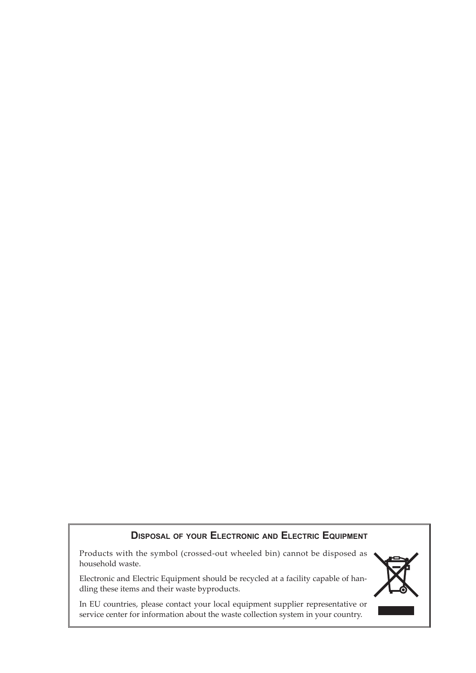#### **Disposal of your Electronic and Electric Equipment**

Products with the symbol (crossed-out wheeled bin) cannot be disposed as household waste.

Electronic and Electric Equipment should be recycled at a facility capable of handling these items and their waste byproducts.

In EU countries, please contact your local equipment supplier representative or service center for information about the waste collection system in your country.